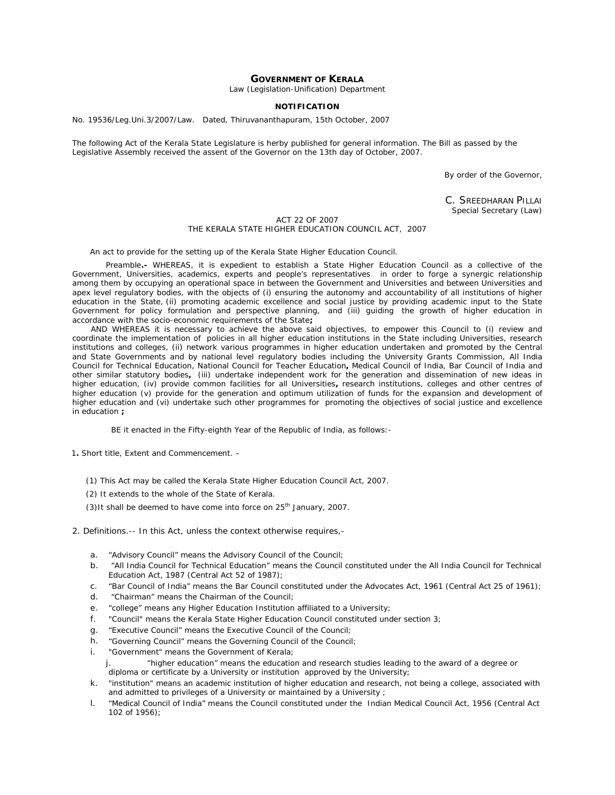# **GOVERNMENT OF KERALA**

Law (Legislation-Unification) Department

## **NOTIFICATION**

No. 19536/Leg.Uni.3/2007/Law. Dated, Thiruvananthapuram, 15th October, 2007

The following Act of the Kerala State Legislature is herby published for general information. The Bill as passed by the Legislative Assembly received the assent of the Governor on the 13th day of October, 2007.

By order of the Governor,

C. SREEDHARAN PILLAI Special Secretary (Law)

## ACT 22 OF 2007 THE KERALA STATE HIGHER EDUCATION COUNCIL ACT, 2007

 *An act to provide for the setting up of the Kerala State Higher Education Council.* 

 *Preamble.-* WHEREAS, it is expedient to establish a State Higher Education Council as a collective of the Government, Universities, academics, experts and people's representatives in order to forge a synergic relationship among them by occupying an operational space in between the Government and Universities and between Universities and apex level regulatory bodies, with the objects of (i) ensuring the autonomy and accountability of all institutions of higher education in the State, (ii) promoting academic excellence and social justice by providing academic input to the State Government for policy formulation and perspective planning, and (iii) guiding the growth of higher education in accordance with the socio-economic requirements of the State**;**

 AND WHEREAS it is necessary to achieve the above said objectives, to empower this Council to (i) review and coordinate the implementation of policies in all higher education institutions in the State including Universities, research institutions and colleges, (ii) network various programmes in higher education undertaken and promoted by the Central and State Governments and by national level regulatory bodies including the University Grants Commission, All India Council for Technical Education, National Council for Teacher Education**,** Medical Council of India, Bar Council of India and other similar statutory bodies**,** (iii) undertake independent work for the generation and dissemination of new ideas in higher education, (iv) provide common facilities for all Universities**,** research institutions, colleges and other centres of higher education (v) provide for the generation and optimum utilization of funds for the expansion and development of higher education and (vi) undertake such other programmes for promoting the objectives of social justice and excellence in education **;**

BE it enacted in the Fifty-eighth Year of the Republic of India, as follows:-

1**.** *Short title, Extent and Commencement*. –

(1) This Act may be called the Kerala State Higher Education Council Act, 2007.

(2) It extends to the whole of the State of Kerala.

 $(3)$ It shall be deemed to have come into force on 25<sup>th</sup> January, 2007.

- 2. *Definitions*.*--* In this Act, unless the context otherwise requires,
	- a. "Advisory Council" means the Advisory Council of the Council;
	- b. "All India Council for Technical Education" means the Council constituted under the All India Council for Technical Education Act, 1987 (Central Act 52 of 1987);
	- c. "Bar Council of India" means the Bar Council constituted under the Advocates Act, 1961 (Central Act 25 of 1961);
	- d. "Chairman" means the Chairman of the Council;
	- e. "college" means any Higher Education Institution affiliated to a University;
	- f. "Council" means the Kerala State Higher Education Council constituted under section 3;
	- g. "Executive Council" means the Executive Council of the Council;
	- h. "Governing Council" means the Governing Council of the Council;
	- i. "Government" means the Government of Kerala;

j. "higher education" means the education and research studies leading to the award of a degree or diploma or certificate by a University or institution approved by the University;

- k. "institution" means an academic institution of higher education and research, not being a college, associated with and admitted to privileges of a University or maintained by a University ;
- l. "Medical Council of India" means the Council constituted under the Indian Medical Council Act, 1956 (Central Act 102 of 1956);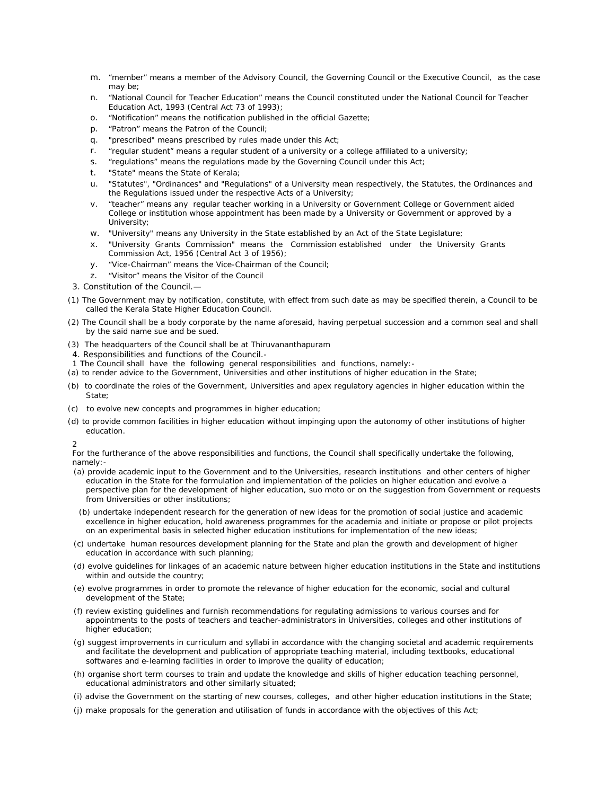- m. "member" means a member of the Advisory Council, the Governing Council or the Executive Council, as the case may be;
- n. "National Council for Teacher Education" means the Council constituted under the National Council for Teacher Education Act, 1993 (Central Act 73 of 1993);
- o. "Notification" means the notification published in the official Gazette;
- p. "Patron" means the Patron of the Council;
- q. "prescribed" means prescribed by rules made under this Act;
- r. "regular student" means a regular student of a university or a college affiliated to a university;
- s. "regulations" means the regulations made by the Governing Council under this Act;
- t. "State" means the State of Kerala;
- u. "Statutes", "Ordinances" and "Regulations" of a University mean respectively, the Statutes, the Ordinances and the Regulations issued under the respective Acts of a University;
- v. "teacher" means any regular teacher working in a University or Government College or Government aided College or institution whose appointment has been made by a University or Government or approved by a University;
- w. "University" means any University in the State established by an Act of the State Legislature;
- x. "University Grants Commission" means the Commission established under the University Grants Commission Act, 1956 (Central Act 3 of 1956);
- y. "Vice-Chairman" means the Vice-Chairman of the Council;
- z. "Visitor" means the Visitor of the Council
- 3. *Constitution of the Council*.—
- (1) The Government may by notification, constitute, with effect from such date as may be specified therein, a Council to be called the Kerala State Higher Education Council.
- (2) The Council shall be a body corporate by the name aforesaid, having perpetual succession and a common seal and shall by the said name sue and be sued.
- (3) The headquarters of the Council shall be at Thiruvananthapuram
- 4. *Responsibilities and functions of the Council.-*
- 1 The Council shall have the following general responsibilities and functions, namely:-
- (a) to render advice to the Government, Universities and other institutions of higher education in the State;
- (b) to coordinate the roles of the Government, Universities and apex regulatory agencies in higher education within the State:
- (c) to evolve new concepts and programmes in higher education;
- (d) to provide common facilities in higher education without impinging upon the autonomy of other institutions of higher education.

2

For the furtherance of the above responsibilities and functions, the Council shall specifically undertake the following, namely:-

- (a) provide academic input to the Government and to the Universities, research institutions and other centers of higher education in the State for the formulation and implementation of the policies on higher education and evolve a perspective plan for the development of higher education, *suo moto* or on the suggestion from Government or requests from Universities or other institutions;
- (b) undertake independent research for the generation of new ideas for the promotion of social justice and academic excellence in higher education, hold awareness programmes for the academia and initiate or propose or pilot projects on an experimental basis in selected higher education institutions for implementation of the new ideas;
- (c) undertake human resources development planning for the State and plan the growth and development of higher education in accordance with such planning;
- (d) evolve guidelines for linkages of an academic nature between higher education institutions in the State and institutions within and outside the country;
- (e) evolve programmes in order to promote the relevance of higher education for the economic, social and cultural development of the State;
- (f) review existing guidelines and furnish recommendations for regulating admissions to various courses and for appointments to the posts of teachers and teacher-administrators in Universities, colleges and other institutions of higher education;
- (g) suggest improvements in curriculum and syllabi in accordance with the changing societal and academic requirements and facilitate the development and publication of appropriate teaching material, including textbooks, educational softwares and e-learning facilities in order to improve the quality of education;
- (h) organise short term courses to train and update the knowledge and skills of higher education teaching personnel, educational administrators and other similarly situated;
- (i) advise the Government on the starting of new courses, colleges, and other higher education institutions in the State;
- (j) make proposals for the generation and utilisation of funds in accordance with the objectives of this Act;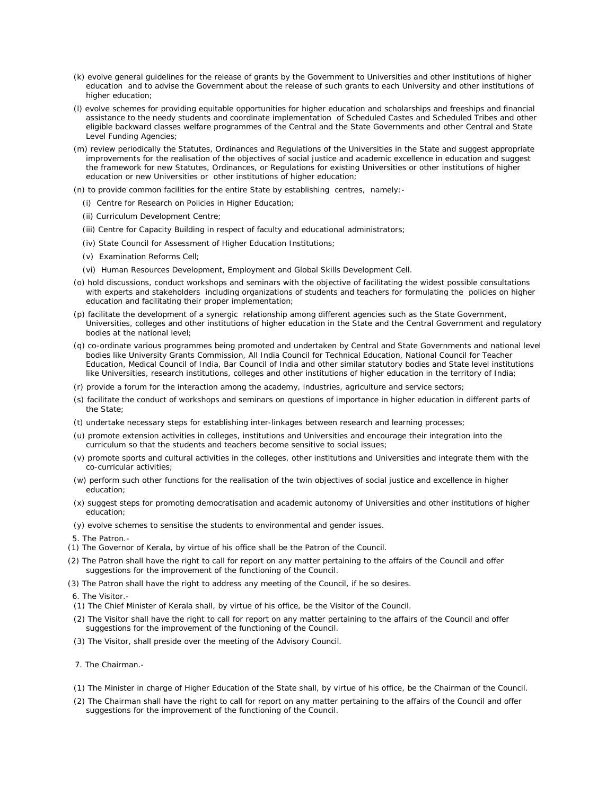- (k) evolve general guidelines for the release of grants by the Government to Universities and other institutions of higher education and to advise the Government about the release of such grants to each University and other institutions of higher education:
- (l) evolve schemes for providing equitable opportunities for higher education and scholarships and freeships and financial assistance to the needy students and coordinate implementation of Scheduled Castes and Scheduled Tribes and other eligible backward classes welfare programmes of the Central and the State Governments and other Central and State Level Funding Agencies;
- (m) review periodically the Statutes, Ordinances and Regulations of the Universities in the State and suggest appropriate improvements for the realisation of the objectives of social justice and academic excellence in education and suggest the framework for new Statutes, Ordinances, or Regulations for existing Universities or other institutions of higher education or new Universities or other institutions of higher education;
- (n) to provide common facilities for the entire State by establishing centres, namely:-
	- (i) Centre for Research on Policies in Higher Education;
	- (ii) Curriculum Development Centre;
	- (iii) Centre for Capacity Building in respect of faculty and educational administrators;
	- (iv) State Council for Assessment of Higher Education Institutions;
	- (v) Examination Reforms Cell;
	- (vi) Human Resources Development, Employment and Global Skills Development Cell.
- (o) hold discussions, conduct workshops and seminars with the objective of facilitating the widest possible consultations with experts and stakeholders including organizations of students and teachers for formulating the policies on higher education and facilitating their proper implementation;
- (p) facilitate the development of a synergic relationship among different agencies such as the State Government, Universities, colleges and other institutions of higher education in the State and the Central Government and regulatory bodies at the national level;
- (q) co-ordinate various programmes being promoted and undertaken by Central and State Governments and national level bodies like University Grants Commission, All India Council for Technical Education, National Council for Teacher Education, Medical Council of India, Bar Council of India and other similar statutory bodies and State level institutions like Universities, research institutions, colleges and other institutions of higher education in the territory of India;
- (r) provide a forum for the interaction among the academy, industries, agriculture and service sectors;
- (s) facilitate the conduct of workshops and seminars on questions of importance in higher education in different parts of the State;
- (t) undertake necessary steps for establishing inter-linkages between research and learning processes;
- (u) promote extension activities in colleges, institutions and Universities and encourage their integration into the curriculum so that the students and teachers become sensitive to social issues;
- (v) promote sports and cultural activities in the colleges, other institutions and Universities and integrate them with the co-curricular activities;
- (w) perform such other functions for the realisation of the twin objectives of social justice and excellence in higher education;
- (x) suggest steps for promoting democratisation and academic autonomy of Universities and other institutions of higher education;
- (y) evolve schemes to sensitise the students to environmental and gender issues.
- 5. *The Patron*.-
- (1) The Governor of Kerala, by virtue of his office shall be the Patron of the Council.
- (2) The Patron shall have the right to call for report on any matter pertaining to the affairs of the Council and offer suggestions for the improvement of the functioning of the Council.
- (3) The Patron shall have the right to address any meeting of the Council, if he so desires.

6. *The Visitor.-*

- (1) The Chief Minister of Kerala shall, by virtue of his office, be the Visitor of the Council.
- (2) The Visitor shall have the right to call for report on any matter pertaining to the affairs of the Council and offer suggestions for the improvement of the functioning of the Council.
- (3) The Visitor, shall preside over the meeting of the Advisory Council.
- 7. *The Chairman.-*
- (1) The Minister in charge of Higher Education of the State shall, by virtue of his office, be the Chairman of the Council.
- (2) The Chairman shall have the right to call for report on any matter pertaining to the affairs of the Council and offer suggestions for the improvement of the functioning of the Council.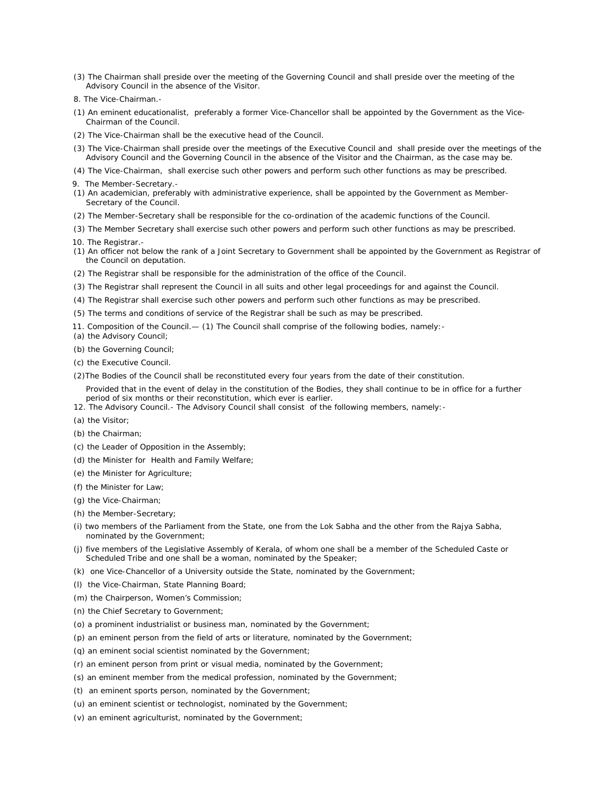- (3) The Chairman shall preside over the meeting of the Governing Council and shall preside over the meeting of the Advisory Council in the absence of the Visitor.
- 8. *The Vice-Chairman.-*
- (1) An eminent educationalist, preferably a former Vice-Chancellor shall be appointed by the Government as the Vice-Chairman of the Council.
- (2) The Vice-Chairman shall be the executive head of the Council.
- (3) The Vice-Chairman shall preside over the meetings of the Executive Council and shall preside over the meetings of the Advisory Council and the Governing Council in the absence of the Visitor and the Chairman, as the case may be.
- (4) The Vice-Chairman, shall exercise such other powers and perform such other functions as may be prescribed.
- 9. *The Member-Secretary.-*
- (1) An academician, preferably with administrative experience, shall be appointed by the Government as Member-Secretary of the Council.
- (2) The Member-Secretary shall be responsible for the co-ordination of the academic functions of the Council.
- (3) The Member Secretary shall exercise such other powers and perform such other functions as may be prescribed.
- 10. *The Registrar*.-
- (1) An officer not below the rank of a Joint Secretary to Government shall be appointed by the Government as Registrar of the Council on deputation.
- (2) The Registrar shall be responsible for the administration of the office of the Council.
- (3) The Registrar shall represent the Council in all suits and other legal proceedings for and against the Council.
- (4) The Registrar shall exercise such other powers and perform such other functions as may be prescribed.
- (5) The terms and conditions of service of the Registrar shall be such as may be prescribed.
- 11. Composition *of the Council*.*—* (1) The Council shall comprise of the following bodies, namely:-
- (a) the Advisory Council;
- (b) the Governing Council;
- (c) the Executive Council.
- (2)The Bodies of the Council shall be reconstituted every four years from the date of their constitution.
	- Provided that in the event of delay in the constitution of the Bodies, they shall continue to be in office for a further period of six months or their reconstitution, which ever is earlier.
- 12. The *Advisory Council.-* The Advisory Council shall consist of the following members, namely:-
- (a) the Visitor;
- (b) the Chairman;
- (c) the Leader of Opposition in the Assembly;
- (d) the Minister for Health and Family Welfare;
- (e) the Minister for Agriculture;
- (f) the Minister for Law;
- (g) the Vice-Chairman;
- (h) the Member-Secretary;
- (i) two members of the Parliament from the State, one from the Lok Sabha and the other from the Rajya Sabha, nominated by the Government;
- (j) five members of the Legislative Assembly of Kerala, of whom one shall be a member of the Scheduled Caste or Scheduled Tribe and one shall be a woman, nominated by the Speaker;
- (k) one Vice-Chancellor of a University outside the State, nominated by the Government;
- (l) the Vice-Chairman, State Planning Board;
- (m) the Chairperson, Women's Commission;
- (n) the Chief Secretary to Government;
- (o) a prominent industrialist or business man, nominated by the Government;
- (p) an eminent person from the field of arts or literature, nominated by the Government;
- (q) an eminent social scientist nominated by the Government;
- (r) an eminent person from print or visual media, nominated by the Government;
- (s) an eminent member from the medical profession, nominated by the Government;
- (t) an eminent sports person, nominated by the Government;
- (u) an eminent scientist or technologist, nominated by the Government;
- (v) an eminent agriculturist, nominated by the Government;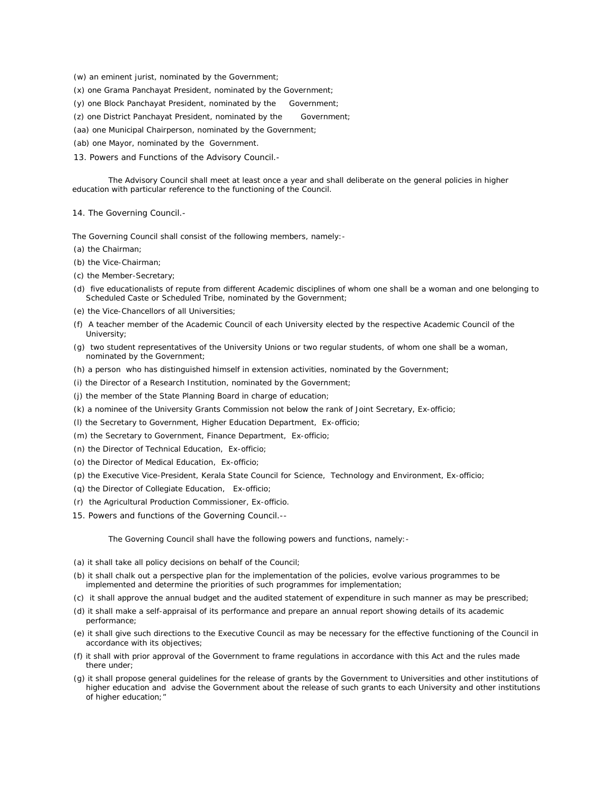- (w) an eminent jurist, nominated by the Government;
- (x) one Grama Panchayat President, nominated by the Government;
- (y) one Block Panchayat President, nominated by the Government;
- (z) one District Panchayat President, nominated by the Government;
- (aa) one Municipal Chairperson, nominated by the Government;
- (ab) one Mayor, nominated by the Government.
- 13. *Powers and Functions of the Advisory Council.-*

The Advisory Council shall meet at least once a year and shall deliberate on the general policies in higher education with particular reference to the functioning of the Council.

14. *The Governing Council*.-

The Governing Council shall consist of the following members, namely:-

- (a) the Chairman;
- (b) the Vice-Chairman;
- (c) the Member-Secretary;
- (d) five educationalists of repute from different Academic disciplines of whom one shall be a woman and one belonging to Scheduled Caste or Scheduled Tribe, nominated by the Government;
- (e) the Vice-Chancellors of all Universities;
- (f) A teacher member of the Academic Council of each University elected by the respective Academic Council of the University;
- (g) two student representatives of the University Unions or two regular students, of whom one shall be a woman, nominated by the Government;
- (h) a person who has distinguished himself in extension activities, nominated by the Government;
- (i) the Director of a Research Institution, nominated by the Government;
- (j) the member of the State Planning Board in charge of education;
- (k) a nominee of the University Grants Commission not below the rank of Joint Secretary, *Ex-officio*;
- (l) the Secretary to Government, Higher Education Department, *Ex-officio*;
- (m) the Secretary to Government, Finance Department, *Ex-officio;*
- (n) the Director of Technical Education, *Ex-officio*;
- (o) the Director of Medical Education, *Ex-officio;*
- (p) the Executive Vice-President, Kerala State Council for Science, Technology and Environment, *Ex-officio;*
- (q) the Director of Collegiate Education, *Ex-officio;*
- (r) the Agricultural Production Commissioner, *Ex-officio*.
- 15. *Powers and functions of the Governing Council*.*--*

The Governing Council shall have the following powers and functions, namely:-

- (a) it shall take all policy decisions on behalf of the Council;
- (b) it shall chalk out a perspective plan for the implementation of the policies, evolve various programmes to be implemented and determine the priorities of such programmes for implementation;
- (c) it shall approve the annual budget and the audited statement of expenditure in such manner as may be prescribed;
- (d) it shall make a self-appraisal of its performance and prepare an annual report showing details of its academic performance;
- (e) it shall give such directions to the Executive Council as may be necessary for the effective functioning of the Council in accordance with its objectives;
- (f) it shall with prior approval of the Government to frame regulations in accordance with this Act and the rules made there under;
- (g) it shall propose general guidelines for the release of grants by the Government to Universities and other institutions of higher education and advise the Government about the release of such grants to each University and other institutions of higher education;"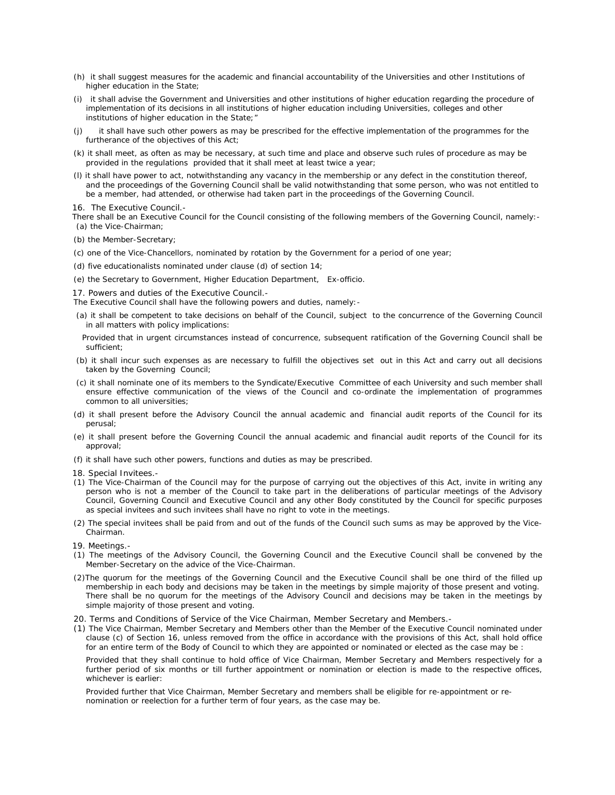- (h) it shall suggest measures for the academic and financial accountability of the Universities and other Institutions of higher education in the State;
- (i) it shall advise the Government and Universities and other institutions of higher education regarding the procedure of implementation of its decisions in all institutions of higher education including Universities, colleges and other institutions of higher education in the State;"
- it shall have such other powers as may be prescribed for the effective implementation of the programmes for the furtherance of the objectives of this Act;
- (k) it shall meet, as often as may be necessary, at such time and place and observe such rules of procedure as may be provided in the regulations provided that it shall meet at least twice a year;
- (l) it shall have power to act, notwithstanding any vacancy in the membership or any defect in the constitution thereof, and the proceedings of the Governing Council shall be valid notwithstanding that some person, who was not entitled to be a member, had attended, or otherwise had taken part in the proceedings of the Governing Council.

16. *The Executive Council.-*

There shall be an Executive Council for the Council consisting of the following members of the Governing Council, namely:- (a) the Vice-Chairman;

- (b) the Member-Secretary;
- (c) one of the Vice-Chancellors, nominated by rotation by the Government for a period of one year;
- (d) five educationalists nominated under clause (d) of section 14;
- (e) the Secretary to Government, Higher Education Department, E*x-officio*.

17. *Powers and duties of the Executive Council*.-

The Executive Council shall have the following powers and duties, namely:-

(a) it shall be competent to take decisions on behalf of the Council, subject to the concurrence of the Governing Council in all matters with policy implications:

 Provided that in urgent circumstances instead of concurrence, subsequent ratification of the Governing Council shall be sufficient;

- (b) it shall incur such expenses as are necessary to fulfill the objectives set out in this Act and carry out all decisions taken by the Governing Council;
- (c) it shall nominate one of its members to the Syndicate/Executive Committee of each University and such member shall ensure effective communication of the views of the Council and co-ordinate the implementation of programmes common to all universities;
- (d) it shall present before the Advisory Council the annual academic and financial audit reports of the Council for its perusal;
- (e) it shall present before the Governing Council the annual academic and financial audit reports of the Council for its approval;
- (f) it shall have such other powers, functions and duties as may be prescribed.
- 18. *Special Invitees*.-
- (1) The Vice-Chairman of the Council may for the purpose of carrying out the objectives of this Act, invite in writing any person who is not a member of the Council to take part in the deliberations of particular meetings of the Advisory Council, Governing Council and Executive Council and any other Body constituted by the Council for specific purposes as special invitees and such invitees shall have no right to vote in the meetings.
- (2) The special invitees shall be paid from and out of the funds of the Council such sums as may be approved by the Vice-Chairman.
- 19*. Meetings*.-
- (1) The meetings of the Advisory Council, the Governing Council and the Executive Council shall be convened by the Member-Secretary on the advice of the Vice-Chairman.
- (2)The quorum for the meetings of the Governing Council and the Executive Council shall be one third of the filled up membership in each body and decisions may be taken in the meetings by simple majority of those present and voting. There shall be no quorum for the meetings of the Advisory Council and decisions may be taken in the meetings by simple majority of those present and voting.
- 20. *Terms* and *Conditions of Service of the Vice Chairman, Member Secretary and Members.-*
- (1) The Vice Chairman, Member Secretary and Members other than the Member of the Executive Council nominated under clause (c) of Section 16, unless removed from the office in accordance with the provisions of this Act, shall hold office for an entire term of the Body of Council to which they are appointed or nominated or elected as the case may be :

Provided that they shall continue to hold office of Vice Chairman, Member Secretary and Members respectively for a further period of six months or till further appointment or nomination or election is made to the respective offices, whichever is earlier:

Provided further that Vice Chairman, Member Secretary and members shall be eligible for re-appointment or renomination or reelection for a further term of four years, as the case may be.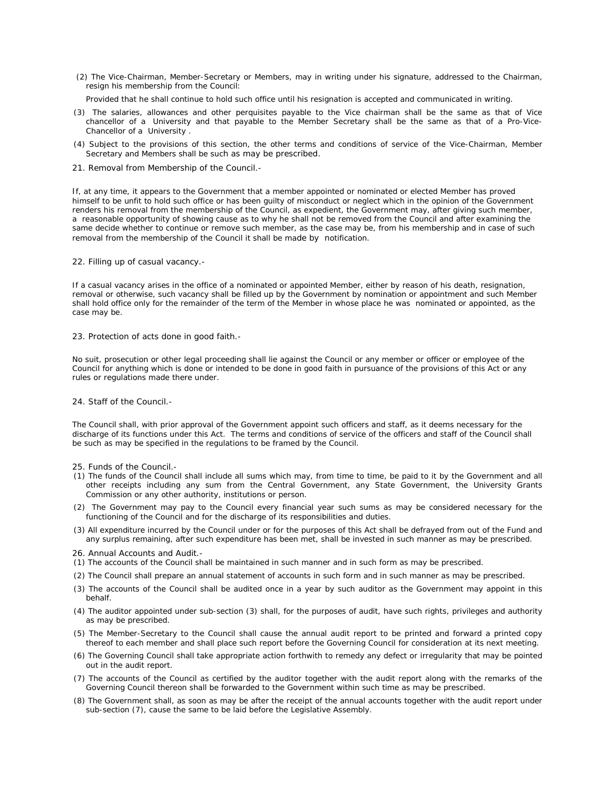(2) The Vice-Chairman, Member-Secretary or Members, may in writing under his signature, addressed to the Chairman, resign his membership from the Council:

Provided that he shall continue to hold such office until his resignation is accepted and communicated in writing.

- (3) The salaries, allowances and other perquisites payable to the Vice chairman shall be the same as that of Vice chancellor of a University and that payable to the Member Secretary shall be the same as that of a Pro-Vice-Chancellor of a University .
- (4) Subject to the provisions of this section, the other terms and conditions of service of the Vice-Chairman, Member Secretary and Members shall be such as may be prescribed.
- 21. *Removal from Membership of the Council.-*

If, at any time, it appears to the Government that a member appointed or nominated or elected Member has proved himself to be unfit to hold such office or has been guilty of misconduct or neglect which in the opinion of the Government renders his removal from the membership of the Council, as expedient, the Government may, after giving such member, a reasonable opportunity of showing cause as to why he shall not be removed from the Council and after examining the same decide whether to continue or remove such member, as the case may be, from his membership and in case of such removal from the membership of the Council it shall be made by notification.

#### 22. *Filling up of casual vacancy.-*

If a casual vacancy arises in the office of a nominated or appointed Member, either by reason of his death, resignation, removal or otherwise, such vacancy shall be filled up by the Government by nomination or appointment and such Member shall hold office only for the remainder of the term of the Member in whose place he was nominated or appointed, as the case may be.

#### 23. *Protection of acts done in good faith.-*

No suit, prosecution or other legal proceeding shall lie against the Council or any member or officer or employee of the Council for anything which is done or intended to be done in good faith in pursuance of the provisions of this Act or any rules or regulations made there under.

#### 24. *Staff of the Council.-*

The Council shall, with prior approval of the Government appoint such officers and staff, as it deems necessary for the discharge of its functions under this Act. The terms and conditions of service of the officers and staff of the Council shall be such as may be specified in the regulations to be framed by the Council.

- 25. *Funds of the Council*.-
- (1) The funds of the Council shall include all sums which may, from time to time, be paid to it by the Government and all other receipts including any sum from the Central Government, any State Government, the University Grants Commission or any other authority, institutions or person.
- (2) The Government may pay to the Council every financial year such sums as may be considered necessary for the functioning of the Council and for the discharge of its responsibilities and duties.
- (3) All expenditure incurred by the Council under or for the purposes of this Act shall be defrayed from out of the Fund and any surplus remaining, after such expenditure has been met, shall be invested in such manner as may be prescribed.
- 26. *Annual Accounts and Audit.-*
- (1) The accounts of the Council shall be maintained in such manner and in such form as may be prescribed.
- (2) The Council shall prepare an annual statement of accounts in such form and in such manner as may be prescribed.
- (3) The accounts of the Council shall be audited once in a year by such auditor as the Government may appoint in this behalf.
- (4) The auditor appointed under sub-section (3) shall, for the purposes of audit, have such rights, privileges and authority as may be prescribed.
- (5) The Member-Secretary to the Council shall cause the annual audit report to be printed and forward a printed copy thereof to each member and shall place such report before the Governing Council for consideration at its next meeting.
- (6) The Governing Council shall take appropriate action forthwith to remedy any defect or irregularity that may be pointed out in the audit report.
- (7) The accounts of the Council as certified by the auditor together with the audit report along with the remarks of the Governing Council thereon shall be forwarded to the Government within such time as may be prescribed.
- (8) The Government shall, as soon as may be after the receipt of the annual accounts together with the audit report under sub-section (7), cause the same to be laid before the Legislative Assembly.